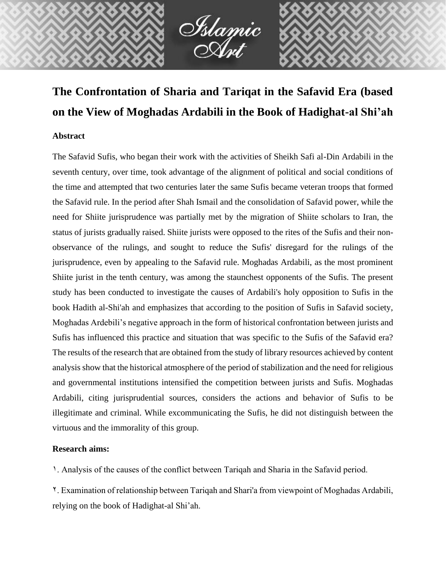

# **The Confrontation of Sharia and Tariqat in the Safavid Era (based on the View of Moghadas Ardabili in the Book of Hadighat-al Shi'ah**

## **Abstract**

The Safavid Sufis, who began their work with the activities of Sheikh Safi al-Din Ardabili in the seventh century, over time, took advantage of the alignment of political and social conditions of the time and attempted that two centuries later the same Sufis became veteran troops that formed the Safavid rule. In the period after Shah Ismail and the consolidation of Safavid power, while the need for Shiite jurisprudence was partially met by the migration of Shiite scholars to Iran, the status of jurists gradually raised. Shiite jurists were opposed to the rites of the Sufis and their nonobservance of the rulings, and sought to reduce the Sufis' disregard for the rulings of the jurisprudence, even by appealing to the Safavid rule. Moghadas Ardabili, as the most prominent Shiite jurist in the tenth century, was among the staunchest opponents of the Sufis. The present study has been conducted to investigate the causes of Ardabili's holy opposition to Sufis in the book Hadith al-Shi'ah and emphasizes that according to the position of Sufis in Safavid society, Moghadas Ardebili's negative approach in the form of historical confrontation between jurists and Sufis has influenced this practice and situation that was specific to the Sufis of the Safavid era? The results of the research that are obtained from the study of library resources achieved by content analysis show that the historical atmosphere of the period of stabilization and the need for religious and governmental institutions intensified the competition between jurists and Sufis. Moghadas Ardabili, citing jurisprudential sources, considers the actions and behavior of Sufis to be illegitimate and criminal. While excommunicating the Sufis, he did not distinguish between the virtuous and the immorality of this group.

## **Research aims:**

1. Analysis of the causes of the conflict between Tariqah and Sharia in the Safavid period.

2. Examination of relationship between Tariqah and Shari'a from viewpoint of Moghadas Ardabili, relying on the book of Hadighat-al Shi'ah.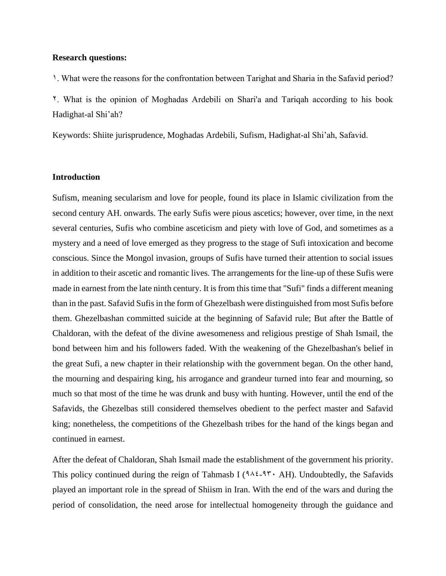#### **Research questions:**

1. What were the reasons for the confrontation between Tarighat and Sharia in the Safavid period?

2. What is the opinion of Moghadas Ardebili on Shari'a and Tariqah according to his book Hadighat-al Shi'ah?

Keywords: Shiite jurisprudence, Moghadas Ardebili, Sufism, Hadighat-al Shi'ah, Safavid.

#### **Introduction**

Sufism, meaning secularism and love for people, found its place in Islamic civilization from the second century AH. onwards. The early Sufis were pious ascetics; however, over time, in the next several centuries, Sufis who combine asceticism and piety with love of God, and sometimes as a mystery and a need of love emerged as they progress to the stage of Sufi intoxication and become conscious. Since the Mongol invasion, groups of Sufis have turned their attention to social issues in addition to their ascetic and romantic lives. The arrangements for the line-up of these Sufis were made in earnest from the late ninth century. It is from this time that "Sufi" finds a different meaning than in the past. Safavid Sufis in the form of Ghezelbash were distinguished from most Sufis before them. Ghezelbashan committed suicide at the beginning of Safavid rule; But after the Battle of Chaldoran, with the defeat of the divine awesomeness and religious prestige of Shah Ismail, the bond between him and his followers faded. With the weakening of the Ghezelbashan's belief in the great Sufi, a new chapter in their relationship with the government began. On the other hand, the mourning and despairing king, his arrogance and grandeur turned into fear and mourning, so much so that most of the time he was drunk and busy with hunting. However, until the end of the Safavids, the Ghezelbas still considered themselves obedient to the perfect master and Safavid king; nonetheless, the competitions of the Ghezelbash tribes for the hand of the kings began and continued in earnest.

After the defeat of Chaldoran, Shah Ismail made the establishment of the government his priority. This policy continued during the reign of Tahmasb I ( $9.42-9.7$  AH). Undoubtedly, the Safavids played an important role in the spread of Shiism in Iran. With the end of the wars and during the period of consolidation, the need arose for intellectual homogeneity through the guidance and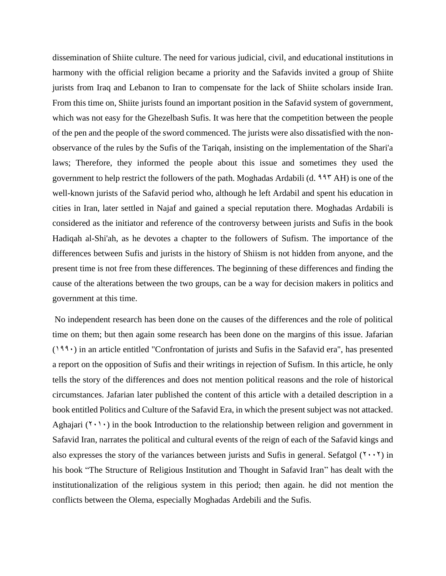dissemination of Shiite culture. The need for various judicial, civil, and educational institutions in harmony with the official religion became a priority and the Safavids invited a group of Shiite jurists from Iraq and Lebanon to Iran to compensate for the lack of Shiite scholars inside Iran. From this time on, Shiite jurists found an important position in the Safavid system of government, which was not easy for the Ghezelbash Sufis. It was here that the competition between the people of the pen and the people of the sword commenced. The jurists were also dissatisfied with the nonobservance of the rules by the Sufis of the Tariqah, insisting on the implementation of the Shari'a laws; Therefore, they informed the people about this issue and sometimes they used the government to help restrict the followers of the path. Moghadas Ardabili (d.  $997$  AH) is one of the well-known jurists of the Safavid period who, although he left Ardabil and spent his education in cities in Iran, later settled in Najaf and gained a special reputation there. Moghadas Ardabili is considered as the initiator and reference of the controversy between jurists and Sufis in the book Hadiqah al-Shi'ah, as he devotes a chapter to the followers of Sufism. The importance of the differences between Sufis and jurists in the history of Shiism is not hidden from anyone, and the present time is not free from these differences. The beginning of these differences and finding the cause of the alterations between the two groups, can be a way for decision makers in politics and government at this time.

No independent research has been done on the causes of the differences and the role of political time on them; but then again some research has been done on the margins of this issue. Jafarian  $(199)$  in an article entitled "Confrontation of jurists and Sufis in the Safavid era", has presented a report on the opposition of Sufis and their writings in rejection of Sufism. In this article, he only tells the story of the differences and does not mention political reasons and the role of historical circumstances. Jafarian later published the content of this article with a detailed description in a book entitled Politics and Culture of the Safavid Era, in which the present subject was not attacked. Aghajari  $(1, 1)$  in the book Introduction to the relationship between religion and government in Safavid Iran, narrates the political and cultural events of the reign of each of the Safavid kings and also expresses the story of the variances between jurists and Sufis in general. Sefatgol  $(7 \cdot \cdot 7)$  in his book "The Structure of Religious Institution and Thought in Safavid Iran" has dealt with the institutionalization of the religious system in this period; then again. he did not mention the conflicts between the Olema, especially Moghadas Ardebili and the Sufis.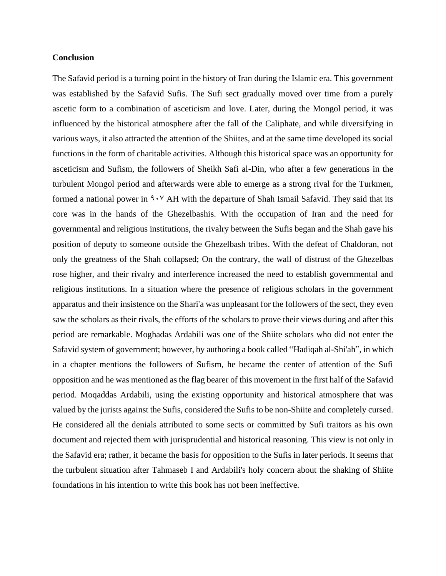#### **Conclusion**

The Safavid period is a turning point in the history of Iran during the Islamic era. This government was established by the Safavid Sufis. The Sufi sect gradually moved over time from a purely ascetic form to a combination of asceticism and love. Later, during the Mongol period, it was influenced by the historical atmosphere after the fall of the Caliphate, and while diversifying in various ways, it also attracted the attention of the Shiites, and at the same time developed its social functions in the form of charitable activities. Although this historical space was an opportunity for asceticism and Sufism, the followers of Sheikh Safi al-Din, who after a few generations in the turbulent Mongol period and afterwards were able to emerge as a strong rival for the Turkmen, formed a national power in  $9.7$  AH with the departure of Shah Ismail Safavid. They said that its core was in the hands of the Ghezelbashis. With the occupation of Iran and the need for governmental and religious institutions, the rivalry between the Sufis began and the Shah gave his position of deputy to someone outside the Ghezelbash tribes. With the defeat of Chaldoran, not only the greatness of the Shah collapsed; On the contrary, the wall of distrust of the Ghezelbas rose higher, and their rivalry and interference increased the need to establish governmental and religious institutions. In a situation where the presence of religious scholars in the government apparatus and their insistence on the Shari'a was unpleasant for the followers of the sect, they even saw the scholars as their rivals, the efforts of the scholars to prove their views during and after this period are remarkable. Moghadas Ardabili was one of the Shiite scholars who did not enter the Safavid system of government; however, by authoring a book called "Hadiqah al-Shi'ah", in which in a chapter mentions the followers of Sufism, he became the center of attention of the Sufi opposition and he was mentioned as the flag bearer of this movement in the first half of the Safavid period. Moqaddas Ardabili, using the existing opportunity and historical atmosphere that was valued by the jurists against the Sufis, considered the Sufis to be non-Shiite and completely cursed. He considered all the denials attributed to some sects or committed by Sufi traitors as his own document and rejected them with jurisprudential and historical reasoning. This view is not only in the Safavid era; rather, it became the basis for opposition to the Sufis in later periods. It seems that the turbulent situation after Tahmaseb I and Ardabili's holy concern about the shaking of Shiite foundations in his intention to write this book has not been ineffective.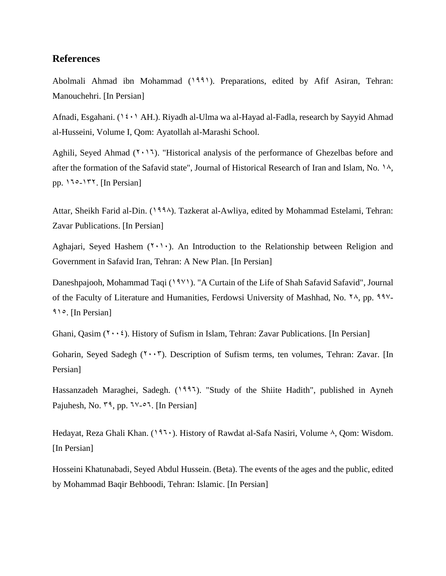# **References**

Abolmali Ahmad ibn Mohammad (1991). Preparations, edited by Afif Asiran, Tehran: Manouchehri. [In Persian]

Afnadi, Esgahani. ( $12 \cdot 1$  AH.). Riyadh al-Ulma wa al-Hayad al-Fadla, research by Sayyid Ahmad al-Husseini, Volume I, Qom: Ayatollah al-Marashi School.

Aghili, Seyed Ahmad  $(2.11)$ . "Historical analysis of the performance of Ghezelbas before and after the formation of the Safavid state", Journal of Historical Research of Iran and Islam, No. 14, pp.  $150-177$ . [In Persian]

Attar, Sheikh Farid al-Din. (1994). Tazkerat al-Awliya, edited by Mohammad Estelami, Tehran: Zavar Publications. [In Persian]

Aghajari, Seyed Hashem  $(1 \cdot 1)$ . An Introduction to the Relationship between Religion and Government in Safavid Iran, Tehran: A New Plan. [In Persian]

Daneshpajooh, Mohammad Taqi (1981). "A Curtain of the Life of Shah Safavid Safavid", Journal of the Faculty of Literature and Humanities, Ferdowsi University of Mashhad, No.  $\frac{8}{3}$ , pp. 997-915. [In Persian]

Ghani, Qasim  $(2\cdot \cdot \cdot)$ . History of Sufism in Islam, Tehran: Zavar Publications. [In Persian]

Goharin, Seyed Sadegh (Y ·· ). Description of Sufism terms, ten volumes, Tehran: Zavar. [In Persian]

Hassanzadeh Maraghei, Sadegh. (1997). "Study of the Shiite Hadith", published in Ayneh Pajuhesh, No.  $49$ , pp.  $19 - 27$ . [In Persian]

Hedayat, Reza Ghali Khan.  $(197)$ . History of Rawdat al-Safa Nasiri, Volume  $\lambda$ , Oom: Wisdom. [In Persian]

Hosseini Khatunabadi, Seyed Abdul Hussein. (Beta). The events of the ages and the public, edited by Mohammad Baqir Behboodi, Tehran: Islamic. [In Persian]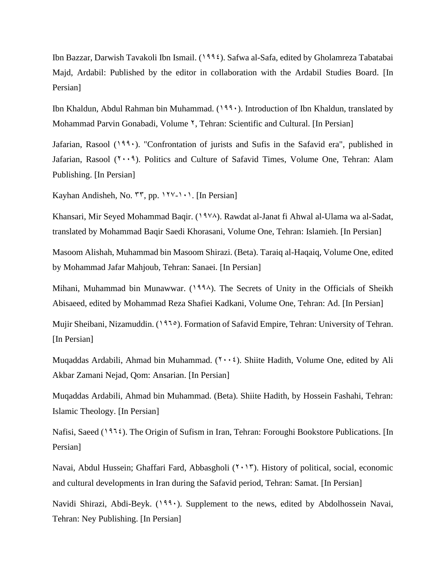Ibn Bazzar, Darwish Tavakoli Ibn Ismail. (1994). Safwa al-Safa, edited by Gholamreza Tabatabai Majd, Ardabil: Published by the editor in collaboration with the Ardabil Studies Board. [In Persian]

Ibn Khaldun, Abdul Rahman bin Muhammad.  $(199)$ . Introduction of Ibn Khaldun, translated by Mohammad Parvin Gonabadi, Volume <sup>Y</sup>, Tehran: Scientific and Cultural. [In Persian]

Jafarian, Rasool  $(193)$ . "Confrontation of jurists and Sufis in the Safavid era", published in Jafarian, Rasool  $(1 \cdot \cdot 1)$ . Politics and Culture of Safavid Times, Volume One, Tehran: Alam Publishing. [In Persian]

Kayhan Andisheh, No.  $\mathsf{ST}, \mathsf{pp}. \mathsf{17} \mathsf{21} \cdots$ . [In Persian]

Khansari, Mir Seyed Mohammad Baqir. (1978). Rawdat al-Janat fi Ahwal al-Ulama wa al-Sadat, translated by Mohammad Baqir Saedi Khorasani, Volume One, Tehran: Islamieh. [In Persian]

Masoom Alishah, Muhammad bin Masoom Shirazi. (Beta). Taraiq al-Haqaiq, Volume One, edited by Mohammad Jafar Mahjoub, Tehran: Sanaei. [In Persian]

Mihani, Muhammad bin Munawwar.  $(1994)$ . The Secrets of Unity in the Officials of Sheikh Abisaeed, edited by Mohammad Reza Shafiei Kadkani, Volume One, Tehran: Ad. [In Persian]

Mujir Sheibani, Nizamuddin. (1965). Formation of Safavid Empire, Tehran: University of Tehran. [In Persian]

Muqaddas Ardabili, Ahmad bin Muhammad.  $(1 \cdot \cdot \cdot)$ . Shiite Hadith, Volume One, edited by Ali Akbar Zamani Nejad, Qom: Ansarian. [In Persian]

Muqaddas Ardabili, Ahmad bin Muhammad. (Beta). Shiite Hadith, by Hossein Fashahi, Tehran: Islamic Theology. [In Persian]

Nafisi, Saeed (197 $\epsilon$ ). The Origin of Sufism in Iran, Tehran: Foroughi Bookstore Publications. [In Persian]

Navai, Abdul Hussein; Ghaffari Fard, Abbasgholi (Y . 1 ). History of political, social, economic and cultural developments in Iran during the Safavid period, Tehran: Samat. [In Persian]

Navidi Shirazi, Abdi-Beyk. (1991). Supplement to the news, edited by Abdolhossein Navai, Tehran: Ney Publishing. [In Persian]